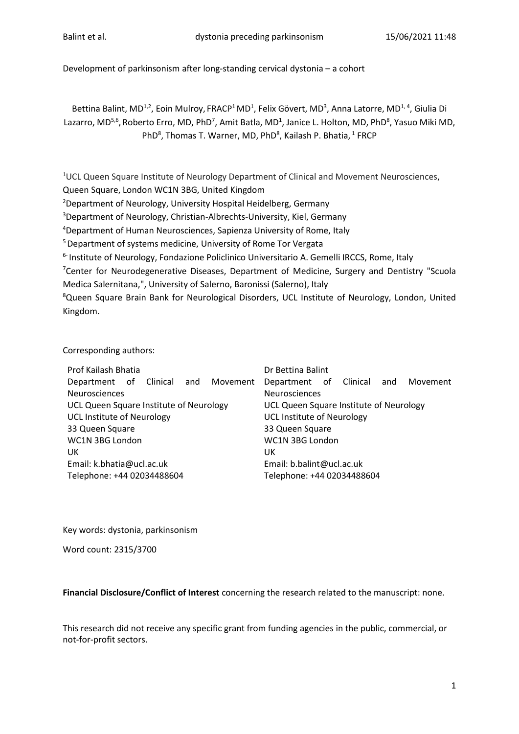Development of parkinsonism after long-standing cervical dystonia – a cohort

Bettina Balint, MD<sup>1,2</sup>, Eoin Mulroy, FRACP<sup>1</sup> MD<sup>1</sup>, Felix Gövert, MD<sup>3</sup>, Anna Latorre, MD<sup>1,4</sup>, Giulia Di Lazarro, MD<sup>5,6</sup>, Roberto Erro, MD, PhD<sup>7</sup>, Amit Batla, MD<sup>1</sup>, Janice L. Holton, MD, PhD<sup>8</sup>, Yasuo Miki MD, PhD<sup>8</sup>, Thomas T. Warner, MD, PhD<sup>8</sup>, Kailash P. Bhatia, <sup>1</sup> FRCP

<sup>1</sup>UCL Queen Square Institute of Neurology Department of Clinical and Movement Neurosciences,

Queen Square, London WC1N 3BG, United Kingdom

<sup>2</sup>Department of Neurology, University Hospital Heidelberg, Germany

<sup>3</sup>Department of Neurology, Christian-Albrechts-University, Kiel, Germany

<sup>4</sup>Department of Human Neurosciences, Sapienza University of Rome, Italy

<sup>5</sup> Department of systems medicine, University of Rome Tor Vergata

<sup>6-</sup> Institute of Neurology, Fondazione Policlinico Universitario A. Gemelli IRCCS, Rome, Italy

<sup>7</sup>Center for Neurodegenerative Diseases, Department of Medicine, Surgery and Dentistry "Scuola Medica Salernitana,", University of Salerno, Baronissi (Salerno), Italy

<sup>8</sup>Queen Square Brain Bank for Neurological Disorders, UCL Institute of Neurology, London, United Kingdom.

Corresponding authors:

| Prof Kailash Bhatia                     | Dr Bettina Balint                       |
|-----------------------------------------|-----------------------------------------|
| Department of Clinical and<br>Movement  | Department of Clinical and<br>Movement  |
| Neurosciences                           | Neurosciences                           |
| UCL Queen Square Institute of Neurology | UCL Queen Square Institute of Neurology |
| <b>UCL Institute of Neurology</b>       | <b>UCL Institute of Neurology</b>       |
| 33 Queen Square                         | 33 Queen Square                         |
| WC1N 3BG London                         | WC1N 3BG London                         |
| UK                                      | UK                                      |
| Email: k.bhatia@ucl.ac.uk               | Email: b.balint@ucl.ac.uk               |
| Telephone: +44 02034488604              | Telephone: +44 02034488604              |

Key words: dystonia, parkinsonism

Word count: 2315/3700

**Financial Disclosure/Conflict of Interest** concerning the research related to the manuscript: none.

This research did not receive any specific grant from funding agencies in the public, commercial, or not-for-profit sectors.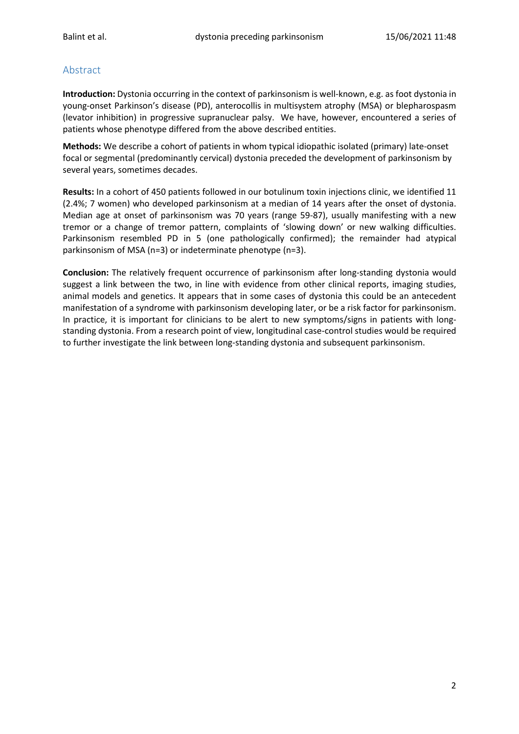# Abstract

**Introduction:** Dystonia occurring in the context of parkinsonism is well-known, e.g. as foot dystonia in young-onset Parkinson's disease (PD), anterocollis in multisystem atrophy (MSA) or blepharospasm (levator inhibition) in progressive supranuclear palsy. We have, however, encountered a series of patients whose phenotype differed from the above described entities.

**Methods:** We describe a cohort of patients in whom typical idiopathic isolated (primary) late-onset focal or segmental (predominantly cervical) dystonia preceded the development of parkinsonism by several years, sometimes decades.

**Results:** In a cohort of 450 patients followed in our botulinum toxin injections clinic, we identified 11 (2.4%; 7 women) who developed parkinsonism at a median of 14 years after the onset of dystonia. Median age at onset of parkinsonism was 70 years (range 59-87), usually manifesting with a new tremor or a change of tremor pattern, complaints of 'slowing down' or new walking difficulties. Parkinsonism resembled PD in 5 (one pathologically confirmed); the remainder had atypical parkinsonism of MSA (n=3) or indeterminate phenotype (n=3).

**Conclusion:** The relatively frequent occurrence of parkinsonism after long-standing dystonia would suggest a link between the two, in line with evidence from other clinical reports, imaging studies, animal models and genetics. It appears that in some cases of dystonia this could be an antecedent manifestation of a syndrome with parkinsonism developing later, or be a risk factor for parkinsonism. In practice, it is important for clinicians to be alert to new symptoms/signs in patients with longstanding dystonia. From a research point of view, longitudinal case-control studies would be required to further investigate the link between long-standing dystonia and subsequent parkinsonism.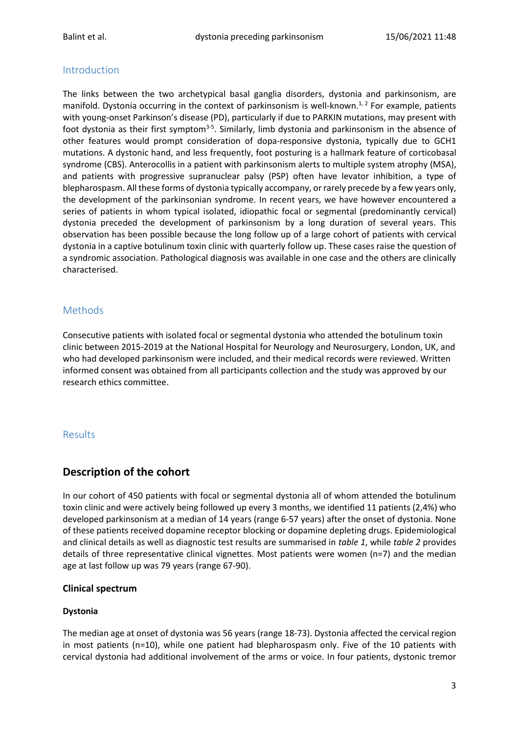# Introduction

The links between the two archetypical basal ganglia disorders, dystonia and parkinsonism, are manifold. Dystonia occurring in the context of parkinsonism is well-known.<sup>1,2</sup> For example, patients with young-onset Parkinson's disease (PD), particularly if due to PARKIN mutations, may present with foot dystonia as their first symptom<sup>3-5</sup>. Similarly, limb dystonia and parkinsonism in the absence of other features would prompt consideration of dopa-responsive dystonia, typically due to GCH1 mutations. A dystonic hand, and less frequently, foot posturing is a hallmark feature of corticobasal syndrome (CBS). Anterocollis in a patient with parkinsonism alerts to multiple system atrophy (MSA), and patients with progressive supranuclear palsy (PSP) often have levator inhibition, a type of blepharospasm. All these forms of dystonia typically accompany, or rarely precede by a few years only, the development of the parkinsonian syndrome. In recent years, we have however encountered a series of patients in whom typical isolated, idiopathic focal or segmental (predominantly cervical) dystonia preceded the development of parkinsonism by a long duration of several years. This observation has been possible because the long follow up of a large cohort of patients with cervical dystonia in a captive botulinum toxin clinic with quarterly follow up. These cases raise the question of a syndromic association. Pathological diagnosis was available in one case and the others are clinically characterised.

# Methods

Consecutive patients with isolated focal or segmental dystonia who attended the botulinum toxin clinic between 2015-2019 at the National Hospital for Neurology and Neurosurgery, London, UK, and who had developed parkinsonism were included, and their medical records were reviewed. Written informed consent was obtained from all participants collection and the study was approved by our research ethics committee.

# Results

# **Description of the cohort**

In our cohort of 450 patients with focal or segmental dystonia all of whom attended the botulinum toxin clinic and were actively being followed up every 3 months, we identified 11 patients (2,4%) who developed parkinsonism at a median of 14 years (range 6-57 years) after the onset of dystonia. None of these patients received dopamine receptor blocking or dopamine depleting drugs. Epidemiological and clinical details as well as diagnostic test results are summarised in *table 1*, while *table 2* provides details of three representative clinical vignettes. Most patients were women (n=7) and the median age at last follow up was 79 years (range 67-90).

## **Clinical spectrum**

## **Dystonia**

The median age at onset of dystonia was 56 years (range 18-73). Dystonia affected the cervical region in most patients (n=10), while one patient had blepharospasm only. Five of the 10 patients with cervical dystonia had additional involvement of the arms or voice. In four patients, dystonic tremor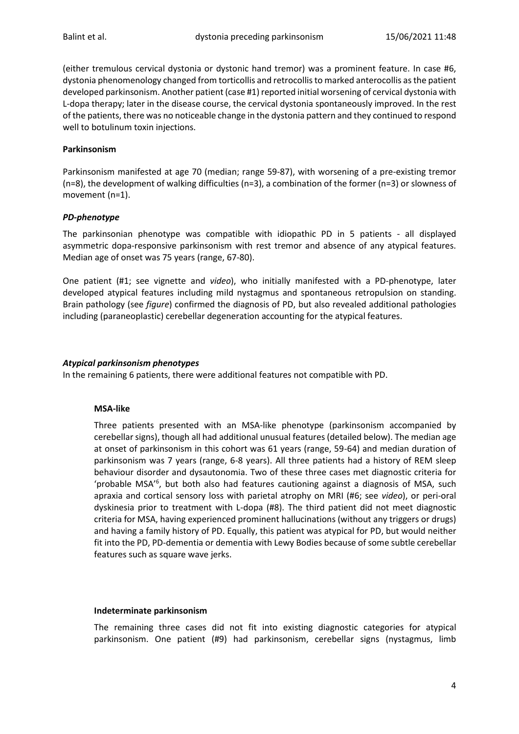(either tremulous cervical dystonia or dystonic hand tremor) was a prominent feature. In case #6, dystonia phenomenology changed from torticollis and retrocollis to marked anterocollis as the patient developed parkinsonism. Another patient (case #1) reported initial worsening of cervical dystonia with L-dopa therapy; later in the disease course, the cervical dystonia spontaneously improved. In the rest of the patients, there was no noticeable change in the dystonia pattern and they continued to respond well to botulinum toxin injections.

#### **Parkinsonism**

Parkinsonism manifested at age 70 (median; range 59-87), with worsening of a pre-existing tremor (n=8), the development of walking difficulties (n=3), a combination of the former (n=3) or slowness of movement (n=1).

#### *PD-phenotype*

The parkinsonian phenotype was compatible with idiopathic PD in 5 patients - all displayed asymmetric dopa-responsive parkinsonism with rest tremor and absence of any atypical features. Median age of onset was 75 years (range, 67-80).

One patient (#1; see vignette and *video*), who initially manifested with a PD-phenotype, later developed atypical features including mild nystagmus and spontaneous retropulsion on standing. Brain pathology (see *figure*) confirmed the diagnosis of PD, but also revealed additional pathologies including (paraneoplastic) cerebellar degeneration accounting for the atypical features.

#### *Atypical parkinsonism phenotypes*

In the remaining 6 patients, there were additional features not compatible with PD.

#### **MSA-like**

Three patients presented with an MSA-like phenotype (parkinsonism accompanied by cerebellar signs), though all had additional unusual features (detailed below). The median age at onset of parkinsonism in this cohort was 61 years (range, 59-64) and median duration of parkinsonism was 7 years (range, 6-8 years). All three patients had a history of REM sleep behaviour disorder and dysautonomia. Two of these three cases met diagnostic criteria for 'probable MSA<sup>'6</sup>, but both also had features cautioning against a diagnosis of MSA, such apraxia and cortical sensory loss with parietal atrophy on MRI (#6; see *video*), or peri-oral dyskinesia prior to treatment with L-dopa (#8). The third patient did not meet diagnostic criteria for MSA, having experienced prominent hallucinations (without any triggers or drugs) and having a family history of PD. Equally, this patient was atypical for PD, but would neither fit into the PD, PD-dementia or dementia with Lewy Bodies because of some subtle cerebellar features such as square wave jerks.

#### **Indeterminate parkinsonism**

The remaining three cases did not fit into existing diagnostic categories for atypical parkinsonism. One patient (#9) had parkinsonism, cerebellar signs (nystagmus, limb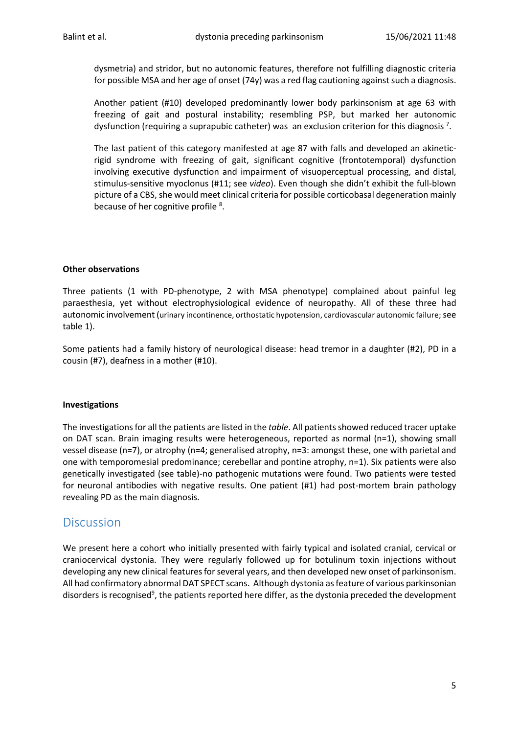dysmetria) and stridor, but no autonomic features, therefore not fulfilling diagnostic criteria for possible MSA and her age of onset (74y) was a red flag cautioning against such a diagnosis.

Another patient (#10) developed predominantly lower body parkinsonism at age 63 with freezing of gait and postural instability; resembling PSP, but marked her autonomic dysfunction (requiring a suprapubic catheter) was an exclusion criterion for this diagnosis<sup>7</sup>.

The last patient of this category manifested at age 87 with falls and developed an akineticrigid syndrome with freezing of gait, significant cognitive (frontotemporal) dysfunction involving executive dysfunction and impairment of visuoperceptual processing, and distal, stimulus-sensitive myoclonus (#11; see *video*). Even though she didn't exhibit the full-blown picture of a CBS, she would meet clinical criteria for possible corticobasal degeneration mainly because of her cognitive profile <sup>8</sup>.

## **Other observations**

Three patients (1 with PD-phenotype, 2 with MSA phenotype) complained about painful leg paraesthesia, yet without electrophysiological evidence of neuropathy. All of these three had autonomic involvement (urinary incontinence, orthostatic hypotension, cardiovascular autonomic failure; see table 1).

Some patients had a family history of neurological disease: head tremor in a daughter (#2), PD in a cousin (#7), deafness in a mother (#10).

#### **Investigations**

The investigations for all the patients are listed in the *table*. All patients showed reduced tracer uptake on DAT scan. Brain imaging results were heterogeneous, reported as normal (n=1), showing small vessel disease (n=7), or atrophy (n=4; generalised atrophy, n=3: amongst these, one with parietal and one with temporomesial predominance; cerebellar and pontine atrophy, n=1). Six patients were also genetically investigated (see table)-no pathogenic mutations were found. Two patients were tested for neuronal antibodies with negative results. One patient (#1) had post-mortem brain pathology revealing PD as the main diagnosis.

# **Discussion**

We present here a cohort who initially presented with fairly typical and isolated cranial, cervical or craniocervical dystonia. They were regularly followed up for botulinum toxin injections without developing any new clinical features for several years, and then developed new onset of parkinsonism. All had confirmatory abnormal DAT SPECT scans. Although dystonia as feature of various parkinsonian disorders is recognised<sup>9</sup>, the patients reported here differ, as the dystonia preceded the development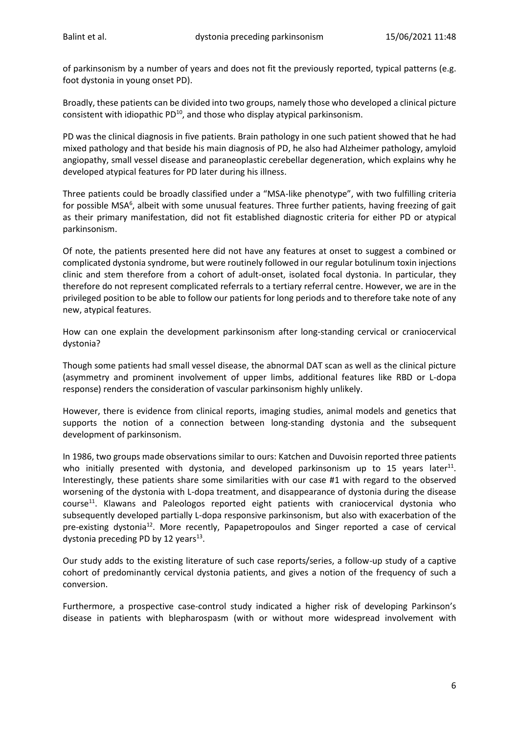of parkinsonism by a number of years and does not fit the previously reported, typical patterns (e.g. foot dystonia in young onset PD).

Broadly, these patients can be divided into two groups, namely those who developed a clinical picture consistent with idiopathic  $PD^{10}$ , and those who display atypical parkinsonism.

PD was the clinical diagnosis in five patients. Brain pathology in one such patient showed that he had mixed pathology and that beside his main diagnosis of PD, he also had Alzheimer pathology, amyloid angiopathy, small vessel disease and paraneoplastic cerebellar degeneration, which explains why he developed atypical features for PD later during his illness.

Three patients could be broadly classified under a "MSA-like phenotype", with two fulfilling criteria for possible MSA<sup>6</sup>, albeit with some unusual features. Three further patients, having freezing of gait as their primary manifestation, did not fit established diagnostic criteria for either PD or atypical parkinsonism.

Of note, the patients presented here did not have any features at onset to suggest a combined or complicated dystonia syndrome, but were routinely followed in our regular botulinum toxin injections clinic and stem therefore from a cohort of adult-onset, isolated focal dystonia. In particular, they therefore do not represent complicated referrals to a tertiary referral centre. However, we are in the privileged position to be able to follow our patients for long periods and to therefore take note of any new, atypical features.

How can one explain the development parkinsonism after long-standing cervical or craniocervical dystonia?

Though some patients had small vessel disease, the abnormal DAT scan as well as the clinical picture (asymmetry and prominent involvement of upper limbs, additional features like RBD or L-dopa response) renders the consideration of vascular parkinsonism highly unlikely.

However, there is evidence from clinical reports, imaging studies, animal models and genetics that supports the notion of a connection between long-standing dystonia and the subsequent development of parkinsonism.

In 1986, two groups made observations similar to ours: Katchen and Duvoisin reported three patients who initially presented with dystonia, and developed parkinsonism up to 15 years later<sup>11</sup>. Interestingly, these patients share some similarities with our case #1 with regard to the observed worsening of the dystonia with L-dopa treatment, and disappearance of dystonia during the disease course<sup>11</sup>. Klawans and Paleologos reported eight patients with craniocervical dystonia who subsequently developed partially L-dopa responsive parkinsonism, but also with exacerbation of the pre-existing dystonia<sup>12</sup>. More recently, Papapetropoulos and Singer reported a case of cervical dystonia preceding PD by 12 years<sup>13</sup>.

Our study adds to the existing literature of such case reports/series, a follow-up study of a captive cohort of predominantly cervical dystonia patients, and gives a notion of the frequency of such a conversion.

Furthermore, a prospective case-control study indicated a higher risk of developing Parkinson's disease in patients with blepharospasm (with or without more widespread involvement with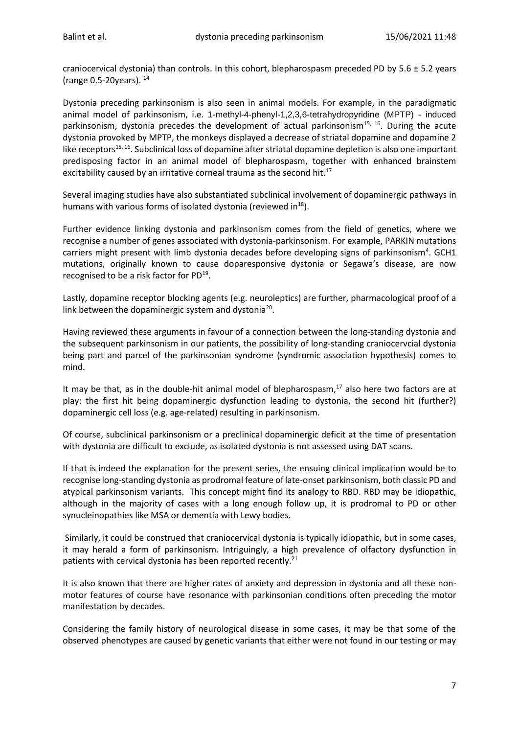craniocervical dystonia) than controls. In this cohort, blepharospasm preceded PD by  $5.6 \pm 5.2$  years (range 0.5-20years). 14

Dystonia preceding parkinsonism is also seen in animal models. For example, in the paradigmatic animal model of parkinsonism, i.e. 1-methyl-4-phenyl-1,2,3,6-tetrahydropyridine (MPTP) - induced parkinsonism, dystonia precedes the development of actual parkinsonism<sup>15, 16</sup>. During the acute dystonia provoked by MPTP, the monkeys displayed a decrease of striatal dopamine and dopamine 2 like receptors<sup>15, 16</sup>. Subclinical loss of dopamine after striatal dopamine depletion is also one important predisposing factor in an animal model of blepharospasm, together with enhanced brainstem excitability caused by an irritative corneal trauma as the second hit.<sup>17</sup>

Several imaging studies have also substantiated subclinical involvement of dopaminergic pathways in humans with various forms of isolated dystonia (reviewed in $^{18}$ ).

Further evidence linking dystonia and parkinsonism comes from the field of genetics, where we recognise a number of genes associated with dystonia-parkinsonism. For example, PARKIN mutations carriers might present with limb dystonia decades before developing signs of parkinsonism<sup>4</sup>. GCH1 mutations, originally known to cause doparesponsive dystonia or Segawa's disease, are now recognised to be a risk factor for PD<sup>19</sup>.

Lastly, dopamine receptor blocking agents (e.g. neuroleptics) are further, pharmacological proof of a link between the dopaminergic system and dystonia<sup>20</sup>.

Having reviewed these arguments in favour of a connection between the long-standing dystonia and the subsequent parkinsonism in our patients, the possibility of long-standing craniocervcial dystonia being part and parcel of the parkinsonian syndrome (syndromic association hypothesis) comes to mind.

It may be that, as in the double-hit animal model of blepharospasm,<sup>17</sup> also here two factors are at play: the first hit being dopaminergic dysfunction leading to dystonia, the second hit (further?) dopaminergic cell loss (e.g. age-related) resulting in parkinsonism.

Of course, subclinical parkinsonism or a preclinical dopaminergic deficit at the time of presentation with dystonia are difficult to exclude, as isolated dystonia is not assessed using DAT scans.

If that is indeed the explanation for the present series, the ensuing clinical implication would be to recognise long-standing dystonia as prodromal feature of late-onset parkinsonism, both classic PD and atypical parkinsonism variants. This concept might find its analogy to RBD. RBD may be idiopathic, although in the majority of cases with a long enough follow up, it is prodromal to PD or other synucleinopathies like MSA or dementia with Lewy bodies.

Similarly, it could be construed that craniocervical dystonia is typically idiopathic, but in some cases, it may herald a form of parkinsonism. Intriguingly, a high prevalence of olfactory dysfunction in patients with cervical dystonia has been reported recently.<sup>21</sup>

It is also known that there are higher rates of anxiety and depression in dystonia and all these nonmotor features of course have resonance with parkinsonian conditions often preceding the motor manifestation by decades.

Considering the family history of neurological disease in some cases, it may be that some of the observed phenotypes are caused by genetic variants that either were not found in our testing or may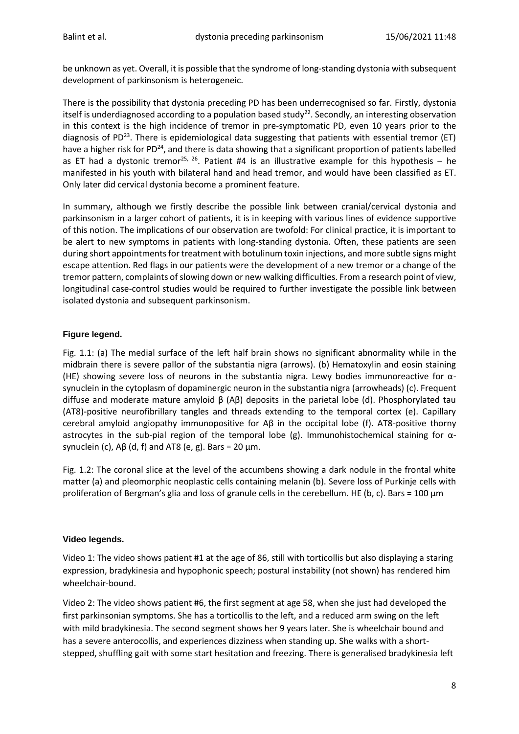be unknown as yet. Overall, it is possible that the syndrome of long-standing dystonia with subsequent development of parkinsonism is heterogeneic.

There is the possibility that dystonia preceding PD has been underrecognised so far. Firstly, dystonia itself is underdiagnosed according to a population based study<sup>22</sup>. Secondly, an interesting observation in this context is the high incidence of tremor in pre-symptomatic PD, even 10 years prior to the diagnosis of PD<sup>23</sup>. There is epidemiological data suggesting that patients with essential tremor (ET) have a higher risk for PD<sup>24</sup>, and there is data showing that a significant proportion of patients labelled as ET had a dystonic tremor<sup>25, 26</sup>. Patient #4 is an illustrative example for this hypothesis – he manifested in his youth with bilateral hand and head tremor, and would have been classified as ET. Only later did cervical dystonia become a prominent feature.

In summary, although we firstly describe the possible link between cranial/cervical dystonia and parkinsonism in a larger cohort of patients, it is in keeping with various lines of evidence supportive of this notion. The implications of our observation are twofold: For clinical practice, it is important to be alert to new symptoms in patients with long-standing dystonia. Often, these patients are seen during short appointments for treatment with botulinum toxin injections, and more subtle signs might escape attention. Red flags in our patients were the development of a new tremor or a change of the tremor pattern, complaints of slowing down or new walking difficulties. From a research point of view, longitudinal case-control studies would be required to further investigate the possible link between isolated dystonia and subsequent parkinsonism.

## **Figure legend.**

Fig. 1.1: (a) The medial surface of the left half brain shows no significant abnormality while in the midbrain there is severe pallor of the substantia nigra (arrows). (b) Hematoxylin and eosin staining (HE) showing severe loss of neurons in the substantia nigra. Lewy bodies immunoreactive for  $\alpha$ synuclein in the cytoplasm of dopaminergic neuron in the substantia nigra (arrowheads) (c). Frequent diffuse and moderate mature amyloid β (Aβ) deposits in the parietal lobe (d). Phosphorylated tau (AT8)-positive neurofibrillary tangles and threads extending to the temporal cortex (e). Capillary cerebral amyloid angiopathy immunopositive for Aβ in the occipital lobe (f). AT8-positive thorny astrocytes in the sub-pial region of the temporal lobe (g). Immunohistochemical staining for αsynuclein (c),  $\text{AB}$  (d, f) and AT8 (e, g). Bars = 20 μm.

Fig. 1.2: The coronal slice at the level of the accumbens showing a dark nodule in the frontal white matter (a) and pleomorphic neoplastic cells containing melanin (b). Severe loss of Purkinje cells with proliferation of Bergman's glia and loss of granule cells in the cerebellum. HE (b, c). Bars = 100  $\mu$ m

## **Video legends.**

Video 1: The video shows patient #1 at the age of 86, still with torticollis but also displaying a staring expression, bradykinesia and hypophonic speech; postural instability (not shown) has rendered him wheelchair-bound.

Video 2: The video shows patient #6, the first segment at age 58, when she just had developed the first parkinsonian symptoms. She has a torticollis to the left, and a reduced arm swing on the left with mild bradykinesia. The second segment shows her 9 years later. She is wheelchair bound and has a severe anterocollis, and experiences dizziness when standing up. She walks with a shortstepped, shuffling gait with some start hesitation and freezing. There is generalised bradykinesia left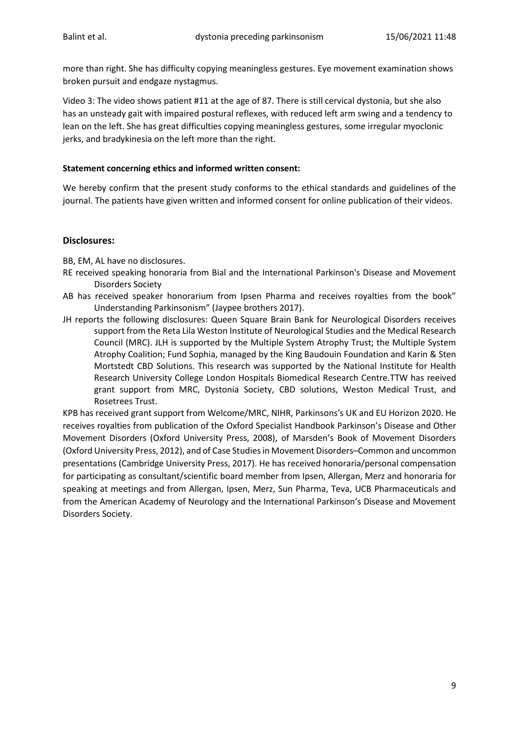more than right. She has difficulty copying meaningless gestures. Eye movement examination shows broken pursuit and endgaze nystagmus.

Video 3: The video shows patient #11 at the age of 87. There is still cervical dystonia, but she also has an unsteady gait with impaired postural reflexes, with reduced left arm swing and a tendency to lean on the left. She has great difficulties copying meaningless gestures, some irregular myoclonic jerks, and bradykinesia on the left more than the right.

#### **Statement concerning ethics and informed written consent:**

We hereby confirm that the present study conforms to the ethical standards and guidelines of the journal. The patients have given written and informed consent for online publication of their videos.

#### **Disclosures:**

BB, EM, AL have no disclosures.

- RE received speaking honoraria from Bial and the International Parkinson's Disease and Movement Disorders Society
- AB has received speaker honorarium from Ipsen Pharma and receives royalties from the book" Understanding Parkinsonism" (Jaypee brothers 2017).
- JH reports the following disclosures: Queen Square Brain Bank for Neurological Disorders receives support from the Reta Lila Weston Institute of Neurological Studies and the Medical Research Council (MRC). JLH is supported by the Multiple System Atrophy Trust; the Multiple System Atrophy Coalition; Fund Sophia, managed by the King Baudouin Foundation and Karin & Sten Mortstedt CBD Solutions. This research was supported by the National Institute for Health Research University College London Hospitals Biomedical Research Centre.TTW has reeived grant support from MRC, Dystonia Society, CBD solutions, Weston Medical Trust, and Rosetrees Trust.

KPB has received grant support from Welcome/MRC, NIHR, Parkinsons's UK and EU Horizon 2020. He receives royalties from publication of the Oxford Specialist Handbook Parkinson's Disease and Other Movement Disorders (Oxford University Press, 2008), of Marsden's Book of Movement Disorders (Oxford University Press, 2012), and of Case Studies in Movement Disorders–Common and uncommon presentations (Cambridge University Press, 2017). He has received honoraria/personal compensation for participating as consultant/scientific board member from Ipsen, Allergan, Merz and honoraria for speaking at meetings and from Allergan, Ipsen, Merz, Sun Pharma, Teva, UCB Pharmaceuticals and from the American Academy of Neurology and the International Parkinson's Disease and Movement Disorders Society.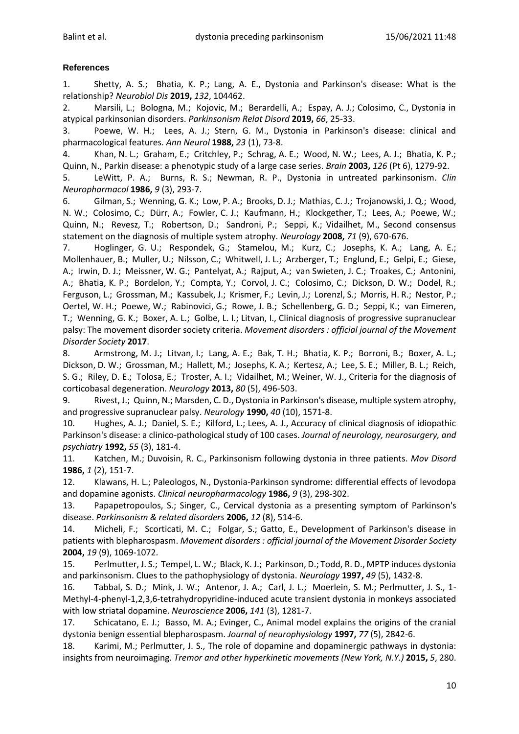# **References**

1. Shetty, A. S.; Bhatia, K. P.; Lang, A. E., Dystonia and Parkinson's disease: What is the relationship? *Neurobiol Dis* **2019,** *132*, 104462.

2. Marsili, L.; Bologna, M.; Kojovic, M.; Berardelli, A.; Espay, A. J.; Colosimo, C., Dystonia in atypical parkinsonian disorders. *Parkinsonism Relat Disord* **2019,** *66*, 25-33.

3. Poewe, W. H.; Lees, A. J.; Stern, G. M., Dystonia in Parkinson's disease: clinical and pharmacological features. *Ann Neurol* **1988,** *23* (1), 73-8.

4. Khan, N. L.; Graham, E.; Critchley, P.; Schrag, A. E.; Wood, N. W.; Lees, A. J.; Bhatia, K. P.; Quinn, N., Parkin disease: a phenotypic study of a large case series. *Brain* **2003,** *126* (Pt 6), 1279-92.

5. LeWitt, P. A.; Burns, R. S.; Newman, R. P., Dystonia in untreated parkinsonism. *Clin Neuropharmacol* **1986,** *9* (3), 293-7.

6. Gilman, S.; Wenning, G. K.; Low, P. A.; Brooks, D. J.; Mathias, C. J.; Trojanowski, J. Q.; Wood, N. W.; Colosimo, C.; Dürr, A.; Fowler, C. J.; Kaufmann, H.; Klockgether, T.; Lees, A.; Poewe, W.; Quinn, N.; Revesz, T.; Robertson, D.; Sandroni, P.; Seppi, K.; Vidailhet, M., Second consensus statement on the diagnosis of multiple system atrophy. *Neurology* **2008,** *71* (9), 670-676.

7. Hoglinger, G. U.; Respondek, G.; Stamelou, M.; Kurz, C.; Josephs, K. A.; Lang, A. E.; Mollenhauer, B.; Muller, U.; Nilsson, C.; Whitwell, J. L.; Arzberger, T.; Englund, E.; Gelpi, E.; Giese, A.; Irwin, D. J.; Meissner, W. G.; Pantelyat, A.; Rajput, A.; van Swieten, J. C.; Troakes, C.; Antonini, A.; Bhatia, K. P.; Bordelon, Y.; Compta, Y.; Corvol, J. C.; Colosimo, C.; Dickson, D. W.; Dodel, R.; Ferguson, L.; Grossman, M.; Kassubek, J.; Krismer, F.; Levin, J.; Lorenzl, S.; Morris, H. R.; Nestor, P.; Oertel, W. H.; Poewe, W.; Rabinovici, G.; Rowe, J. B.; Schellenberg, G. D.; Seppi, K.; van Eimeren, T.; Wenning, G. K.; Boxer, A. L.; Golbe, L. I.; Litvan, I., Clinical diagnosis of progressive supranuclear palsy: The movement disorder society criteria. *Movement disorders : official journal of the Movement Disorder Society* **2017**.

8. Armstrong, M. J.; Litvan, I.; Lang, A. E.; Bak, T. H.; Bhatia, K. P.; Borroni, B.; Boxer, A. L.; Dickson, D. W.; Grossman, M.; Hallett, M.; Josephs, K. A.; Kertesz, A.; Lee, S. E.; Miller, B. L.; Reich, S. G.; Riley, D. E.; Tolosa, E.; Troster, A. I.; Vidailhet, M.; Weiner, W. J., Criteria for the diagnosis of corticobasal degeneration. *Neurology* **2013,** *80* (5), 496-503.

9. Rivest, J.; Quinn, N.; Marsden, C. D., Dystonia in Parkinson's disease, multiple system atrophy, and progressive supranuclear palsy. *Neurology* **1990,** *40* (10), 1571-8.

10. Hughes, A. J.; Daniel, S. E.; Kilford, L.; Lees, A. J., Accuracy of clinical diagnosis of idiopathic Parkinson's disease: a clinico-pathological study of 100 cases. *Journal of neurology, neurosurgery, and psychiatry* **1992,** *55* (3), 181-4.

11. Katchen, M.; Duvoisin, R. C., Parkinsonism following dystonia in three patients. *Mov Disord*  **1986,** *1* (2), 151-7.

12. Klawans, H. L.; Paleologos, N., Dystonia-Parkinson syndrome: differential effects of levodopa and dopamine agonists. *Clinical neuropharmacology* **1986,** *9* (3), 298-302.

13. Papapetropoulos, S.; Singer, C., Cervical dystonia as a presenting symptom of Parkinson's disease. *Parkinsonism & related disorders* **2006,** *12* (8), 514-6.

14. Micheli, F.; Scorticati, M. C.; Folgar, S.; Gatto, E., Development of Parkinson's disease in patients with blepharospasm. *Movement disorders : official journal of the Movement Disorder Society*  **2004,** *19* (9), 1069-1072.

15. Perlmutter, J. S.; Tempel, L. W.; Black, K. J.; Parkinson, D.; Todd, R. D., MPTP induces dystonia and parkinsonism. Clues to the pathophysiology of dystonia. *Neurology* **1997,** *49* (5), 1432-8.

16. Tabbal, S. D.; Mink, J. W.; Antenor, J. A.; Carl, J. L.; Moerlein, S. M.; Perlmutter, J. S., 1- Methyl-4-phenyl-1,2,3,6-tetrahydropyridine-induced acute transient dystonia in monkeys associated with low striatal dopamine. *Neuroscience* **2006,** *141* (3), 1281-7.

17. Schicatano, E. J.; Basso, M. A.; Evinger, C., Animal model explains the origins of the cranial dystonia benign essential blepharospasm. *Journal of neurophysiology* **1997,** *77* (5), 2842-6.

18. Karimi, M.; Perlmutter, J. S., The role of dopamine and dopaminergic pathways in dystonia: insights from neuroimaging. *Tremor and other hyperkinetic movements (New York, N.Y.)* **2015,** *5*, 280.